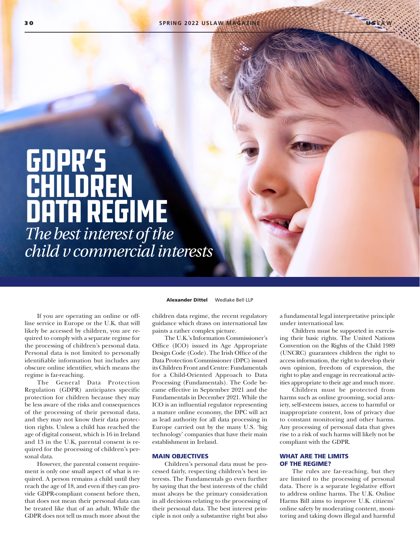GDPR's children data regime *The best interest of the child v commercial interests*

If you are operating an online or offline service in Europe or the U.K. that will likely be accessed by children, you are required to comply with a separate regime for the processing of children's personal data. Personal data is not limited to personally identifiable information but includes any obscure online identifier, which means the regime is far-reaching.

The General Data Protection Regulation (GDPR) anticipates specific protection for children because they may be less aware of the risks and consequences of the processing of their personal data, and they may not know their data protection rights. Unless a child has reached the age of digital consent, which is 16 in Ireland and 13 in the U.K, parental consent is required for the processing of children's personal data.

However, the parental consent requirement is only one small aspect of what is required. A person remains a child until they reach the age of 18, and even if they can provide GDPR-compliant consent before then, that does not mean their personal data can be treated like that of an adult. While the GDPR does not tell us much more about the

Alexander Dittel Wedlake Bell LLP

children data regime, the recent regulatory guidance which draws on international law paints a rather complex picture.

The U.K.'s Information Commissioner's Office (ICO) issued its Age Appropriate Design Code (Code). The Irish Office of the Data Protection Commissioner (DPC) issued its Children Front and Centre: Fundamentals for a Child-Oriented Approach to Data Processing (Fundamentals). The Code became effective in September 2021 and the Fundamentals in December 2021. While the ICO is an influential regulator representing a mature online economy, the DPC will act as lead authority for all data processing in Europe carried out by the many U.S. 'big technology' companies that have their main establishment in Ireland.

#### MAIN OBJECTIVES

Children's personal data must be processed fairly, respecting children's best interests. The Fundamentals go even further by saying that the best interests of the child must always be the primary consideration in all decisions relating to the processing of their personal data. The best interest principle is not only a substantive right but also

a fundamental legal interpretative principle under international law.

Children must be supported in exercising their basic rights. The United Nations Convention on the Rights of the Child 1989 (UNCRC) guarantees children the right to access information, the right to develop their own opinion, freedom of expression, the right to play and engage in recreational activities appropriate to their age and much more.

Children must be protected from harms such as online grooming, social anxiety, self-esteem issues, access to harmful or inappropriate content, loss of privacy due to constant monitoring and other harms. Any processing of personal data that gives rise to a risk of such harms will likely not be compliant with the GDPR.

### WHAT ARE THE LIMITS OF THE REGIME?

The rules are far-reaching, but they are limited to the processing of personal data. There is a separate legislative effort to address online harms. The U.K. Online Harms Bill aims to improve U.K. citizens' online safety by moderating content, monitoring and taking down illegal and harmful